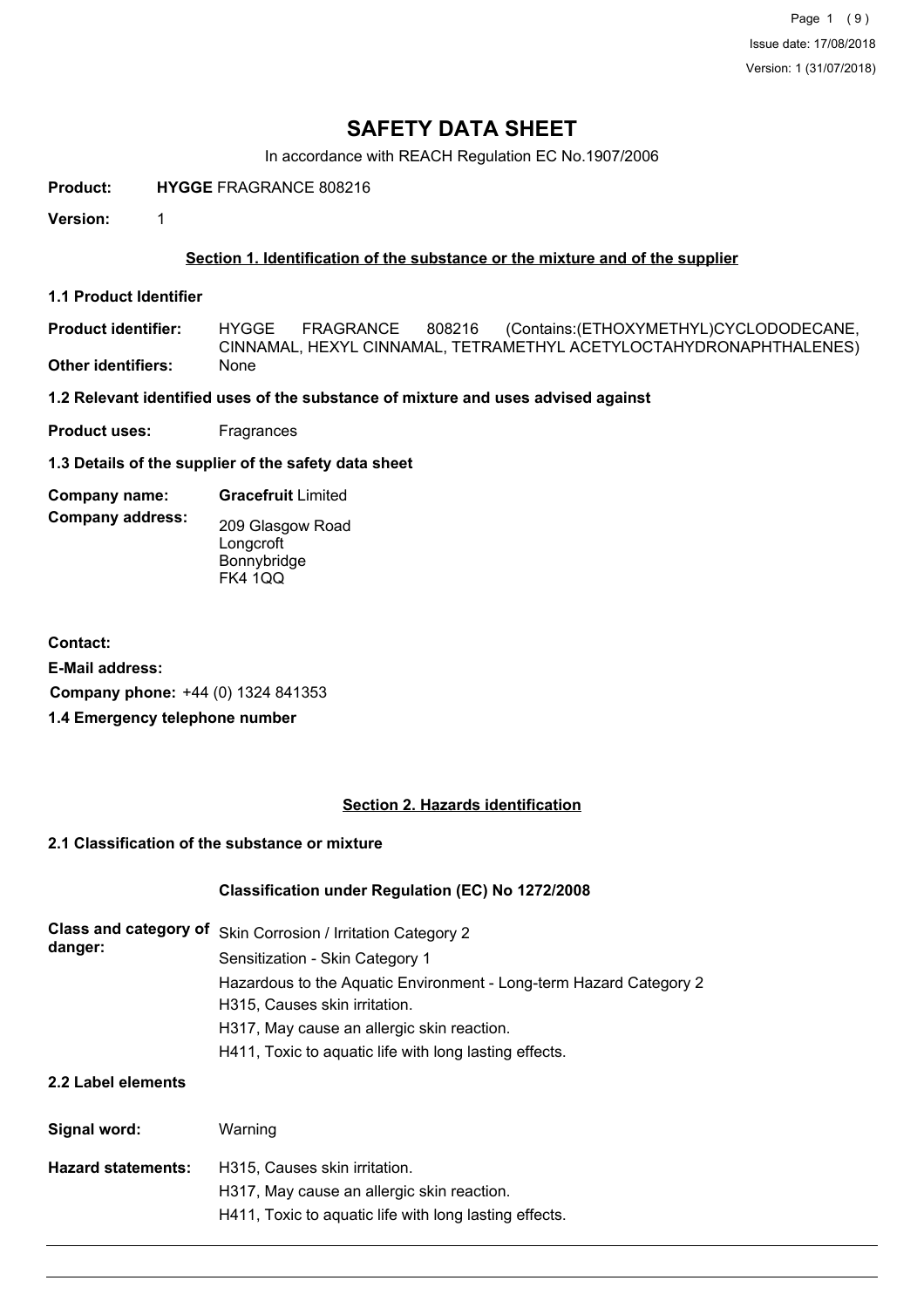Page 1 (9) Issue date: 17/08/2018 Version: 1 (31/07/2018)

# **SAFETY DATA SHEET**

In accordance with REACH Regulation EC No.1907/2006

**Product: HYGGE** FRAGRANCE 808216

**Version:** 1

### **Section 1. Identification of the substance or the mixture and of the supplier**

**1.1 Product Identifier**

**Product identifier: Other identifiers:** None HYGGE FRAGRANCE 808216 (Contains:(ETHOXYMETHYL)CYCLODODECANE, CINNAMAL, HEXYL CINNAMAL, TETRAMETHYL ACETYLOCTAHYDRONAPHTHALENES)

**1.2 Relevant identified uses of the substance of mixture and uses advised against**

**Product uses:** Fragrances

**1.3 Details of the supplier of the safety data sheet**

**Company name: Gracefruit** Limited

**Company address:** 209 Glasgow Road **Longcroft** Bonnybridge FK4 1QQ

**Contact: E-Mail address: Company phone:** +44 (0) 1324 841353 **1.4 Emergency telephone number**

#### **Section 2. Hazards identification**

## **2.1 Classification of the substance or mixture**

#### **Classification under Regulation (EC) No 1272/2008**

| <b>Class and category of</b> | Skin Corrosion / Irritation Category 2                             |  |  |  |  |
|------------------------------|--------------------------------------------------------------------|--|--|--|--|
| danger:                      | Sensitization - Skin Category 1                                    |  |  |  |  |
|                              | Hazardous to the Aquatic Environment - Long-term Hazard Category 2 |  |  |  |  |
|                              | H315, Causes skin irritation.                                      |  |  |  |  |
|                              | H317, May cause an allergic skin reaction.                         |  |  |  |  |
|                              | H411, Toxic to aquatic life with long lasting effects.             |  |  |  |  |
| 2.2 Label elements           |                                                                    |  |  |  |  |
| Signal word:                 | Warning                                                            |  |  |  |  |

| Hazard statements: | H315. Causes skin irritation.                          |
|--------------------|--------------------------------------------------------|
|                    | H317, May cause an allergic skin reaction.             |
|                    | H411, Toxic to aquatic life with long lasting effects. |
|                    |                                                        |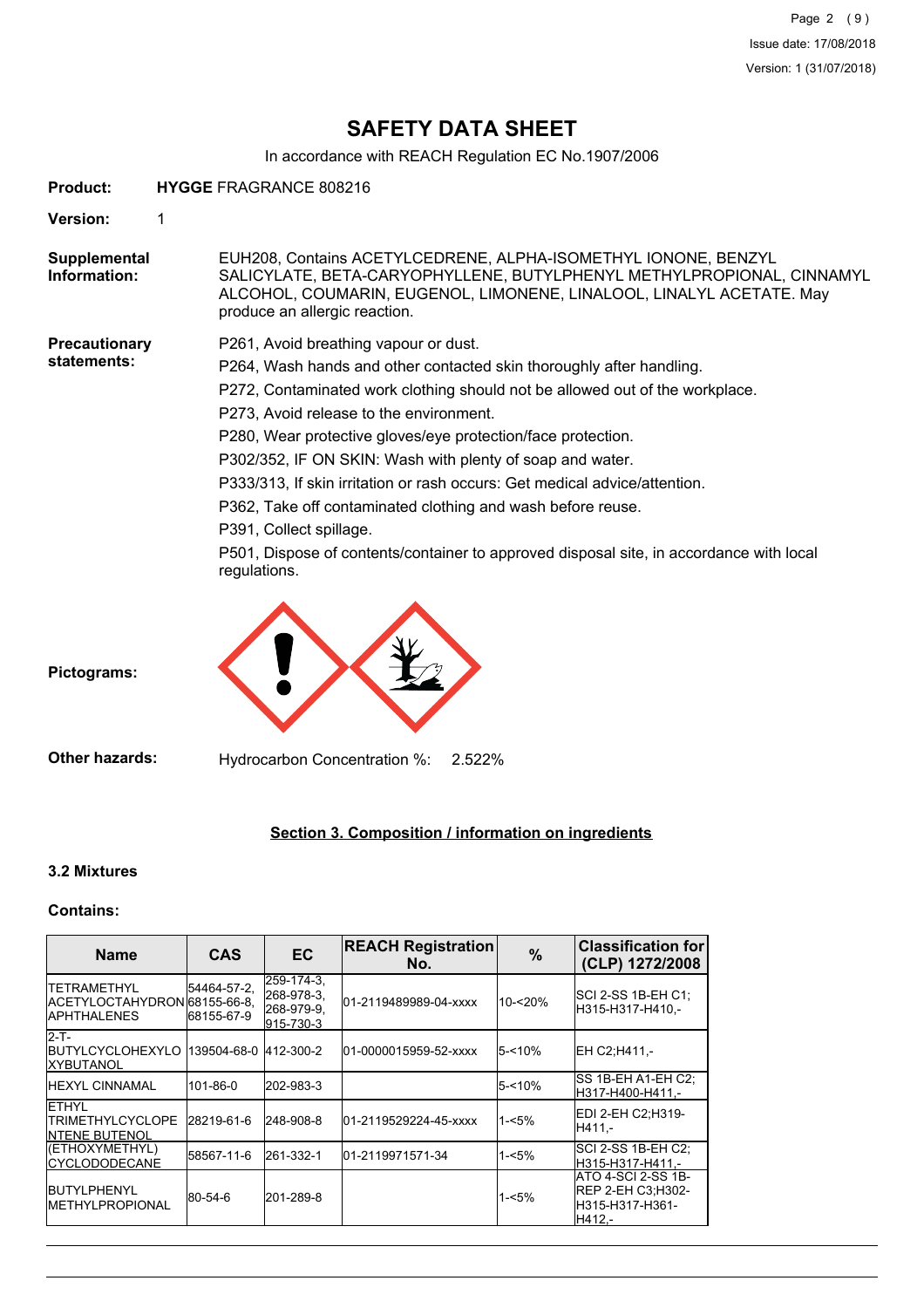# **SAFETY DATA SHEET**

In accordance with REACH Regulation EC No.1907/2006

| Product:                     | <b>HYGGE FRAGRANCE 808216</b>                                                                                                                                                                                                                                                                                                                                                                                                                                                                                                                                                                                                                            |
|------------------------------|----------------------------------------------------------------------------------------------------------------------------------------------------------------------------------------------------------------------------------------------------------------------------------------------------------------------------------------------------------------------------------------------------------------------------------------------------------------------------------------------------------------------------------------------------------------------------------------------------------------------------------------------------------|
| Version:                     | 1                                                                                                                                                                                                                                                                                                                                                                                                                                                                                                                                                                                                                                                        |
| Supplemental<br>Information: | EUH208, Contains ACETYLCEDRENE, ALPHA-ISOMETHYL IONONE, BENZYL<br>SALICYLATE, BETA-CARYOPHYLLENE, BUTYLPHENYL METHYLPROPIONAL, CINNAMYL<br>ALCOHOL, COUMARIN, EUGENOL, LIMONENE, LINALOOL, LINALYL ACETATE. May<br>produce an allergic reaction.                                                                                                                                                                                                                                                                                                                                                                                                         |
| Precautionary<br>statements: | P261, Avoid breathing vapour or dust.<br>P264, Wash hands and other contacted skin thoroughly after handling.<br>P272, Contaminated work clothing should not be allowed out of the workplace.<br>P273, Avoid release to the environment.<br>P280, Wear protective gloves/eye protection/face protection.<br>P302/352, IF ON SKIN: Wash with plenty of soap and water.<br>P333/313, If skin irritation or rash occurs: Get medical advice/attention.<br>P362, Take off contaminated clothing and wash before reuse.<br>P391, Collect spillage.<br>P501, Dispose of contents/container to approved disposal site, in accordance with local<br>regulations. |
| Pictograms:                  |                                                                                                                                                                                                                                                                                                                                                                                                                                                                                                                                                                                                                                                          |
| <b>Other hazards:</b>        | Hydrocarbon Concentration %:<br>2.522%                                                                                                                                                                                                                                                                                                                                                                                                                                                                                                                                                                                                                   |

# **Section 3. Composition / information on ingredients**

## **3.2 Mixtures**

# **Contains:**

| <b>Name</b>                                                                    | <b>CAS</b>                 | <b>EC</b>                                           | <b>REACH Registration</b><br>No. | %         | <b>Classification for</b><br>(CLP) 1272/2008                         |
|--------------------------------------------------------------------------------|----------------------------|-----------------------------------------------------|----------------------------------|-----------|----------------------------------------------------------------------|
| <b>ITETRAMETHYL</b><br>IACETYLOCTAHYDRON68155-66-8.<br><b>IAPHTHALENES</b>     | 54464-57-2,<br> 68155-67-9 | 259-174-3.<br>268-978-3.<br>268-979-9.<br>915-730-3 | 01-2119489989-04-xxxx            | 10-<20%   | SCI 2-SS 1B-EH C1:<br>H315-H317-H410.-                               |
| <b>I2-T-</b><br>IBUTYLCYCLOHEXYLO 1139504-68-0 1412-300-2<br><b>IXYBUTANOL</b> |                            |                                                     | 01-0000015959-52-xxxx            | $5 - 10%$ | EH C2:H411 -                                                         |
| <b>IHEXYL CINNAMAL</b>                                                         | 101-86-0                   | 202-983-3                                           |                                  | $5 - 10%$ | SS 1B-EH A1-EH C2:<br>H317-H400-H411.-                               |
| <b>IETHYL</b><br><b>ITRIMETHYLCYCLOPE</b><br><b>INTENE BUTENOL</b>             | 28219-61-6                 | 248-908-8                                           | 01-2119529224-45-xxxx            | $1 - 5%$  | EDI 2-EH C2;H319-<br>H411.-                                          |
| (ETHOXYMETHYL)<br><b>CYCLODODECANE</b>                                         | 58567-11-6                 | 261-332-1                                           | 01-2119971571-34                 | 1-<5%     | SCI 2-SS 1B-EH C2:<br>H315-H317-H411.-                               |
| <b>IBUTYLPHENYL</b><br><b>IMETHYLPROPIONAL</b>                                 | 80-54-6                    | 201-289-8                                           |                                  | $1 - 5%$  | ATO 4-SCI 2-SS 1B-<br>REP 2-EH C3:H302-<br>H315-H317-H361-<br>H412.- |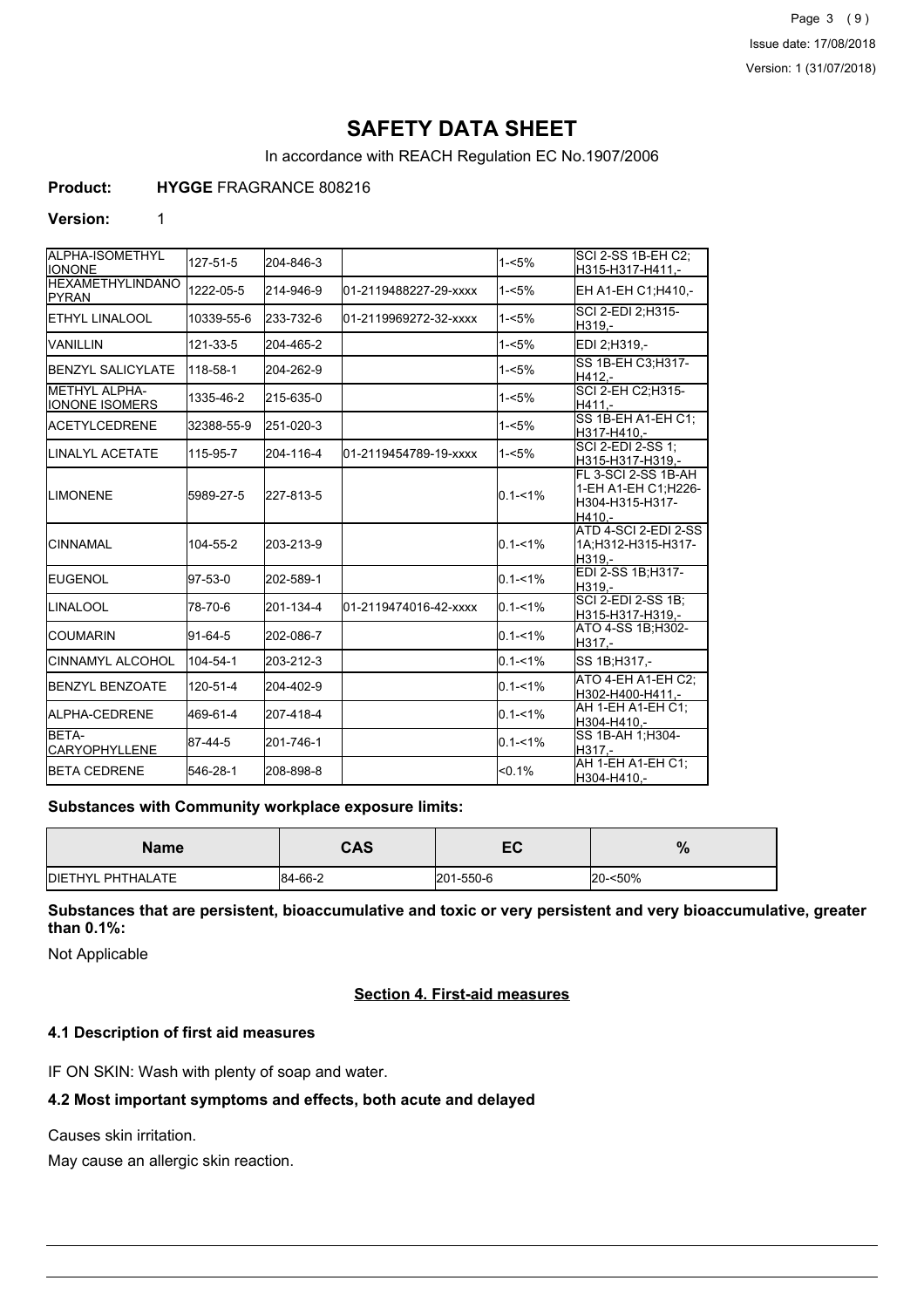Page 3 (9) Issue date: 17/08/2018 Version: 1 (31/07/2018)

# **SAFETY DATA SHEET**

In accordance with REACH Regulation EC No.1907/2006

## **Product: HYGGE** FRAGRANCE 808216

#### **Version:** 1

| ALPHA-ISOMETHYL<br><b>I</b> IONONE       | 127-51-5   | 204-846-3 |                       | $1 - 5%$    | SCI 2-SS 1B-EH C2:<br>H315-H317-H411,-                                  |
|------------------------------------------|------------|-----------|-----------------------|-------------|-------------------------------------------------------------------------|
| <b>HEXAMETHYLINDANO</b><br><b>IPYRAN</b> | 1222-05-5  | 214-946-9 | 01-2119488227-29-xxxx | $1 - 5%$    | EH A1-EH C1; H410,-                                                     |
| <b>I</b> ETHYL LINALOOL                  | 10339-55-6 | 233-732-6 | 01-2119969272-32-xxxx | $1 - 5%$    | SCI 2-EDI 2:H315-<br>H319.-                                             |
| IVANILLIN                                | 121-33-5   | 204-465-2 |                       | $1 - 5%$    | EDI 2;H319,-                                                            |
| <b>BENZYL SALICYLATE</b>                 | 118-58-1   | 204-262-9 |                       | $1 - 5%$    | SS 1B-EH C3:H317-<br>H412.-                                             |
| METHYL ALPHA-<br><b>IONONE ISOMERS</b>   | 1335-46-2  | 215-635-0 |                       | $1 - 5%$    | <b>SCI 2-EH C2:H315-</b><br>H411.-                                      |
| <b>IACETYLCEDRENE</b>                    | 32388-55-9 | 251-020-3 |                       | $1 - 5%$    | SS 1B-EH A1-EH C1;<br>H317-H410,-                                       |
| <b>I</b> LINALYL ACETATE                 | 115-95-7   | 204-116-4 | 01-2119454789-19-xxxx | $1 - 5%$    | SCI 2-EDI 2-SS 1;<br>H315-H317-H319,-                                   |
| <b>LIMONENE</b>                          | 5989-27-5  | 227-813-5 |                       | $0.1 - 1\%$ | FL 3-SCI 2-SS 1B-AH<br>1-EH A1-EH C1;H226-<br>H304-H315-H317-<br>H410.- |
| ICINNAMAL                                | 104-55-2   | 203-213-9 |                       | $0.1 - 1\%$ | <b>ATD 4-SCI 2-EDI 2-SS</b><br>1A;H312-H315-H317-<br>H319.-             |
| <b>IEUGENOL</b>                          | 97-53-0    | 202-589-1 |                       | $0.1 - 1\%$ | EDI 2-SS 1B;H317-<br>H319.-                                             |
| <b>I</b> LINALOOL                        | 78-70-6    | 201-134-4 | 01-2119474016-42-xxxx | $0.1 - 1\%$ | <b>SCI 2-EDI 2-SS 1B:</b><br>H315-H317-H319.-                           |
| ICOUMARIN                                | 91-64-5    | 202-086-7 |                       | $0.1 - 1\%$ | ATO 4-SS 1B;H302-<br>H317,-                                             |
| CINNAMYL ALCOHOL                         | 104-54-1   | 203-212-3 |                       | $0.1 - 1\%$ | SS 1B; H317,-                                                           |
| <b>IBENZYL BENZOATE</b>                  | 120-51-4   | 204-402-9 |                       | $0.1 - 1\%$ | ATO 4-EH A1-EH C2:<br>H302-H400-H411,-                                  |
| <b>IALPHA-CEDRENE</b>                    | 469-61-4   | 207-418-4 |                       | $0.1 - 1\%$ | AH 1-EH A1-EH C1:<br>H304-H410,-                                        |
| BETA-<br><b>CARYOPHYLLENE</b>            | 87-44-5    | 201-746-1 |                       | $0.1 - 1\%$ | SS 1B-AH 1:H304-<br>H317,-                                              |
| <b>IBETA CEDRENE</b>                     | 546-28-1   | 208-898-8 |                       | $< 0.1\%$   | AH 1-EH A1-EH C1;<br>H304-H410,-                                        |

#### **Substances with Community workplace exposure limits:**

| <b>Name</b>               | <b>CAS</b> | — г<br>cr. | $\mathbf{O}$<br>70 |
|---------------------------|------------|------------|--------------------|
| <b>IDIETHYL PHTHALATE</b> | 84-66-2    | 201-550-6  | 20-<50%            |

**Substances that are persistent, bioaccumulative and toxic or very persistent and very bioaccumulative, greater than 0.1%:**

Not Applicable

## **Section 4. First-aid measures**

## **4.1 Description of first aid measures**

IF ON SKIN: Wash with plenty of soap and water.

## **4.2 Most important symptoms and effects, both acute and delayed**

Causes skin irritation.

May cause an allergic skin reaction.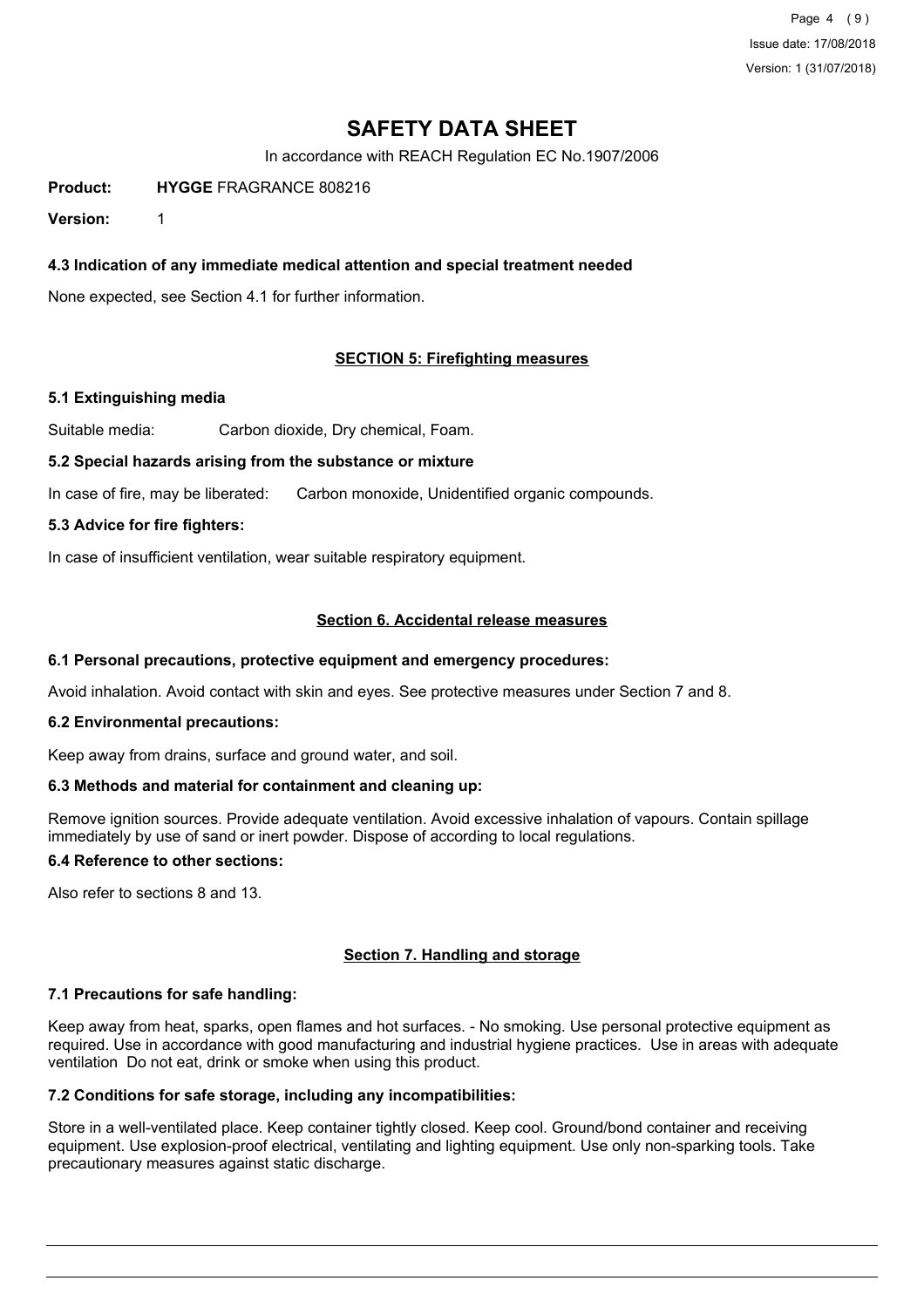Page 4 (9) Issue date: 17/08/2018 Version: 1 (31/07/2018)

# **SAFETY DATA SHEET**

In accordance with REACH Regulation EC No.1907/2006

**Product: HYGGE** FRAGRANCE 808216

**Version:** 1

## **4.3 Indication of any immediate medical attention and special treatment needed**

None expected, see Section 4.1 for further information.

#### **SECTION 5: Firefighting measures**

#### **5.1 Extinguishing media**

Suitable media: Carbon dioxide, Dry chemical, Foam.

#### **5.2 Special hazards arising from the substance or mixture**

In case of fire, may be liberated: Carbon monoxide, Unidentified organic compounds.

#### **5.3 Advice for fire fighters:**

In case of insufficient ventilation, wear suitable respiratory equipment.

### **Section 6. Accidental release measures**

#### **6.1 Personal precautions, protective equipment and emergency procedures:**

Avoid inhalation. Avoid contact with skin and eyes. See protective measures under Section 7 and 8.

#### **6.2 Environmental precautions:**

Keep away from drains, surface and ground water, and soil.

#### **6.3 Methods and material for containment and cleaning up:**

Remove ignition sources. Provide adequate ventilation. Avoid excessive inhalation of vapours. Contain spillage immediately by use of sand or inert powder. Dispose of according to local regulations.

## **6.4 Reference to other sections:**

Also refer to sections 8 and 13.

#### **Section 7. Handling and storage**

#### **7.1 Precautions for safe handling:**

Keep away from heat, sparks, open flames and hot surfaces. - No smoking. Use personal protective equipment as required. Use in accordance with good manufacturing and industrial hygiene practices. Use in areas with adequate ventilation Do not eat, drink or smoke when using this product.

## **7.2 Conditions for safe storage, including any incompatibilities:**

Store in a well-ventilated place. Keep container tightly closed. Keep cool. Ground/bond container and receiving equipment. Use explosion-proof electrical, ventilating and lighting equipment. Use only non-sparking tools. Take precautionary measures against static discharge.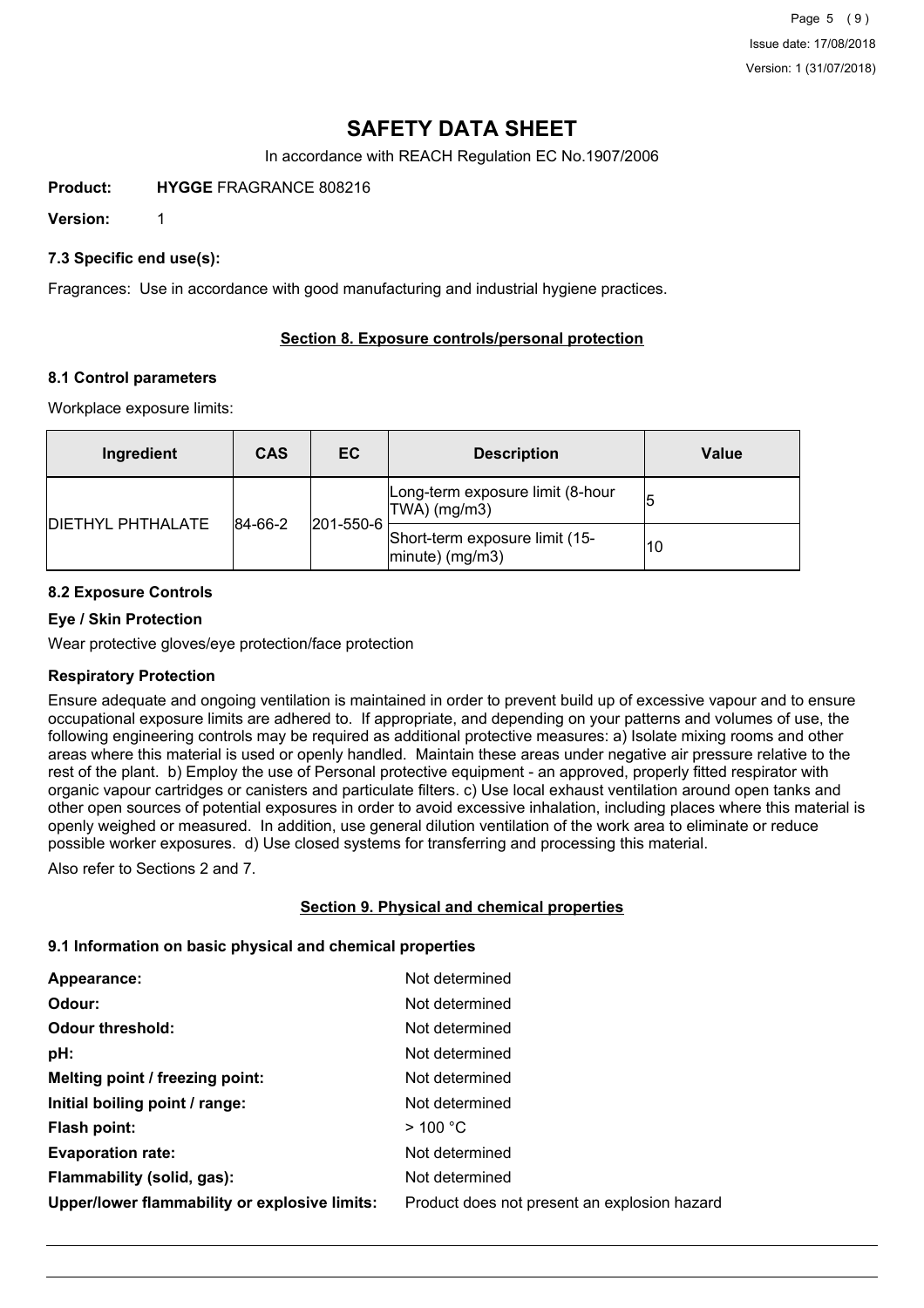Page 5 (9) Issue date: 17/08/2018 Version: 1 (31/07/2018)

# **SAFETY DATA SHEET**

In accordance with REACH Regulation EC No.1907/2006

**Product: HYGGE** FRAGRANCE 808216

**Version:** 1

### **7.3 Specific end use(s):**

Fragrances: Use in accordance with good manufacturing and industrial hygiene practices.

## **Section 8. Exposure controls/personal protection**

#### **8.1 Control parameters**

Workplace exposure limits:

| Ingredient                | <b>CAS</b>                   | EC.                                                      | <b>Description</b>                                | <b>Value</b> |
|---------------------------|------------------------------|----------------------------------------------------------|---------------------------------------------------|--------------|
|                           | $ 201 - 550 - 6 $<br>84-66-2 |                                                          | Long-term exposure limit (8-hour<br> TWA  (mg/m3) |              |
| <b>IDIETHYL PHTHALATE</b> |                              | Short-term exposure limit (15-<br>$ $ minute $ $ (mg/m3) | 10                                                |              |

## **8.2 Exposure Controls**

#### **Eye / Skin Protection**

Wear protective gloves/eye protection/face protection

#### **Respiratory Protection**

Ensure adequate and ongoing ventilation is maintained in order to prevent build up of excessive vapour and to ensure occupational exposure limits are adhered to. If appropriate, and depending on your patterns and volumes of use, the following engineering controls may be required as additional protective measures: a) Isolate mixing rooms and other areas where this material is used or openly handled. Maintain these areas under negative air pressure relative to the rest of the plant. b) Employ the use of Personal protective equipment - an approved, properly fitted respirator with organic vapour cartridges or canisters and particulate filters. c) Use local exhaust ventilation around open tanks and other open sources of potential exposures in order to avoid excessive inhalation, including places where this material is openly weighed or measured. In addition, use general dilution ventilation of the work area to eliminate or reduce possible worker exposures. d) Use closed systems for transferring and processing this material.

Also refer to Sections 2 and 7.

#### **Section 9. Physical and chemical properties**

#### **9.1 Information on basic physical and chemical properties**

| Appearance:                                   | Not determined                               |
|-----------------------------------------------|----------------------------------------------|
| Odour:                                        | Not determined                               |
| <b>Odour threshold:</b>                       | Not determined                               |
| pH:                                           | Not determined                               |
| Melting point / freezing point:               | Not determined                               |
| Initial boiling point / range:                | Not determined                               |
| Flash point:                                  | $>$ 100 °C                                   |
| <b>Evaporation rate:</b>                      | Not determined                               |
| Flammability (solid, gas):                    | Not determined                               |
| Upper/lower flammability or explosive limits: | Product does not present an explosion hazard |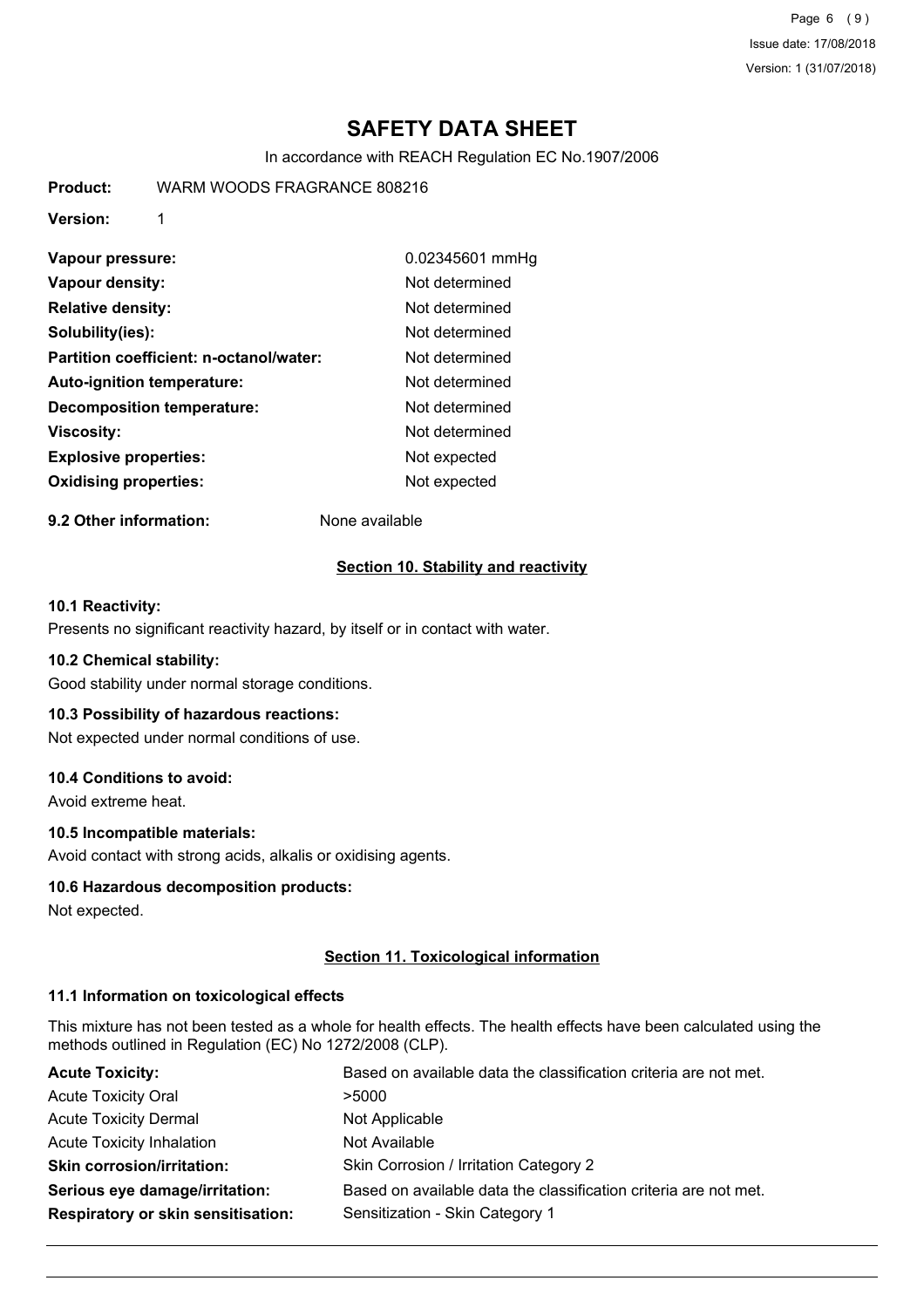Page 6 (9) Issue date: 17/08/2018 Version: 1 (31/07/2018)

# **SAFETY DATA SHEET**

In accordance with REACH Regulation EC No.1907/2006

**Product:** WARM WOODS FRAGRANCE 808216

**Version:** 1

| Vapour pressure:                        | 0.02345601 mmHg |
|-----------------------------------------|-----------------|
| Vapour density:                         | Not determined  |
| <b>Relative density:</b>                | Not determined  |
| Solubility(ies):                        | Not determined  |
| Partition coefficient: n-octanol/water: | Not determined  |
| <b>Auto-ignition temperature:</b>       | Not determined  |
| <b>Decomposition temperature:</b>       | Not determined  |
| <b>Viscosity:</b>                       | Not determined  |
| <b>Explosive properties:</b>            | Not expected    |
| <b>Oxidising properties:</b>            | Not expected    |

**9.2 Other information:** None available

#### **Section 10. Stability and reactivity**

### **10.1 Reactivity:**

Presents no significant reactivity hazard, by itself or in contact with water.

#### **10.2 Chemical stability:**

Good stability under normal storage conditions.

#### **10.3 Possibility of hazardous reactions:**

Not expected under normal conditions of use.

## **10.4 Conditions to avoid:**

Avoid extreme heat.

#### **10.5 Incompatible materials:**

Avoid contact with strong acids, alkalis or oxidising agents.

#### **10.6 Hazardous decomposition products:**

Not expected.

#### **Section 11. Toxicological information**

### **11.1 Information on toxicological effects**

This mixture has not been tested as a whole for health effects. The health effects have been calculated using the methods outlined in Regulation (EC) No 1272/2008 (CLP).

| <b>Acute Toxicity:</b>                    | Based on available data the classification criteria are not met. |
|-------------------------------------------|------------------------------------------------------------------|
| <b>Acute Toxicity Oral</b>                | >5000                                                            |
| <b>Acute Toxicity Dermal</b>              | Not Applicable                                                   |
| <b>Acute Toxicity Inhalation</b>          | Not Available                                                    |
| <b>Skin corrosion/irritation:</b>         | Skin Corrosion / Irritation Category 2                           |
| Serious eye damage/irritation:            | Based on available data the classification criteria are not met. |
| <b>Respiratory or skin sensitisation:</b> | Sensitization - Skin Category 1                                  |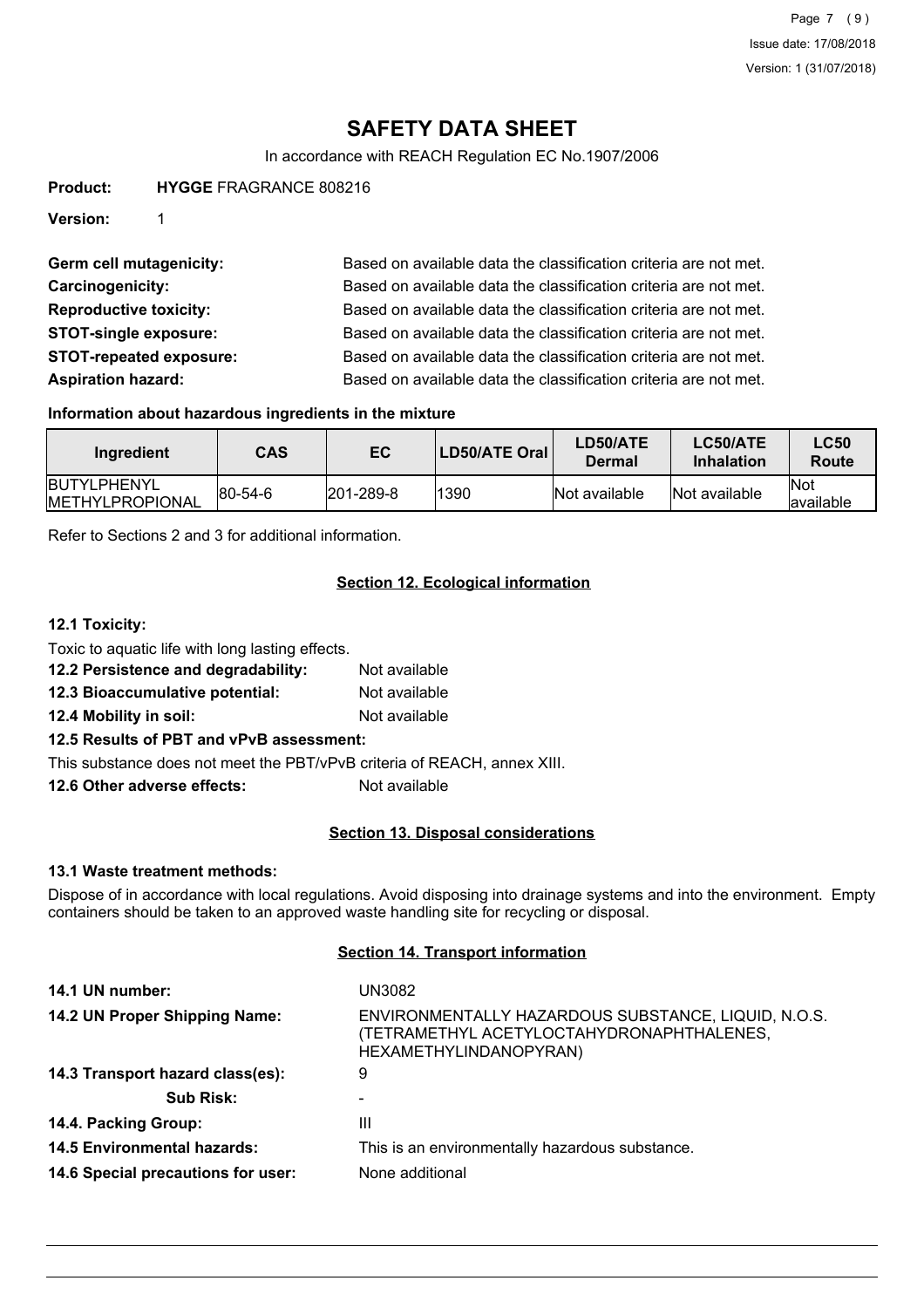# **SAFETY DATA SHEET**

In accordance with REACH Regulation EC No.1907/2006

**Product: HYGGE** FRAGRANCE 808216

**Version:** 1

Germ cell mutagenicity: Based on available data the classification criteria are not met. **Carcinogenicity:** Based on available data the classification criteria are not met. **Reproductive toxicity:** Based on available data the classification criteria are not met. **STOT-single exposure:** Based on available data the classification criteria are not met. **STOT-repeated exposure:** Based on available data the classification criteria are not met. **Aspiration hazard:** Based on available data the classification criteria are not met.

#### **Information about hazardous ingredients in the mixture**

| Ingredient                                     | CAS     | EC                | LD50/ATE Oral | <b>LD50/ATE</b><br>Dermal | LC50/ATE<br>Inhalation | <b>LC50</b><br>Route |
|------------------------------------------------|---------|-------------------|---------------|---------------------------|------------------------|----------------------|
| <b>IBUTYLPHENYL</b><br><b>IMETHYLPROPIONAL</b> | 80-54-6 | $ 201 - 289 - 8 $ | 1390          | Not available             | Not available          | lNot<br>lavailable   |

Refer to Sections 2 and 3 for additional information.

## **Section 12. Ecological information**

#### **12.1 Toxicity:**

- Toxic to aquatic life with long lasting effects. **12.2 Persistence and degradability:** Not available
- **12.3 Bioaccumulative potential:** Not available
- **12.4 Mobility in soil:** Not available

## **12.5 Results of PBT and vPvB assessment:**

This substance does not meet the PBT/vPvB criteria of REACH, annex XIII.

**12.6 Other adverse effects:** Not available

#### **Section 13. Disposal considerations**

#### **13.1 Waste treatment methods:**

Dispose of in accordance with local regulations. Avoid disposing into drainage systems and into the environment. Empty containers should be taken to an approved waste handling site for recycling or disposal.

#### **Section 14. Transport information**

| UN3082                                                                                                                     |
|----------------------------------------------------------------------------------------------------------------------------|
| ENVIRONMENTALLY HAZARDOUS SUBSTANCE, LIQUID, N.O.S.<br>(TETRAMETHYL ACETYLOCTAHYDRONAPHTHALENES,<br>HEXAMETHYLINDANOPYRAN) |
| 9                                                                                                                          |
|                                                                                                                            |
| Ш                                                                                                                          |
| This is an environmentally hazardous substance.                                                                            |
| None additional                                                                                                            |
|                                                                                                                            |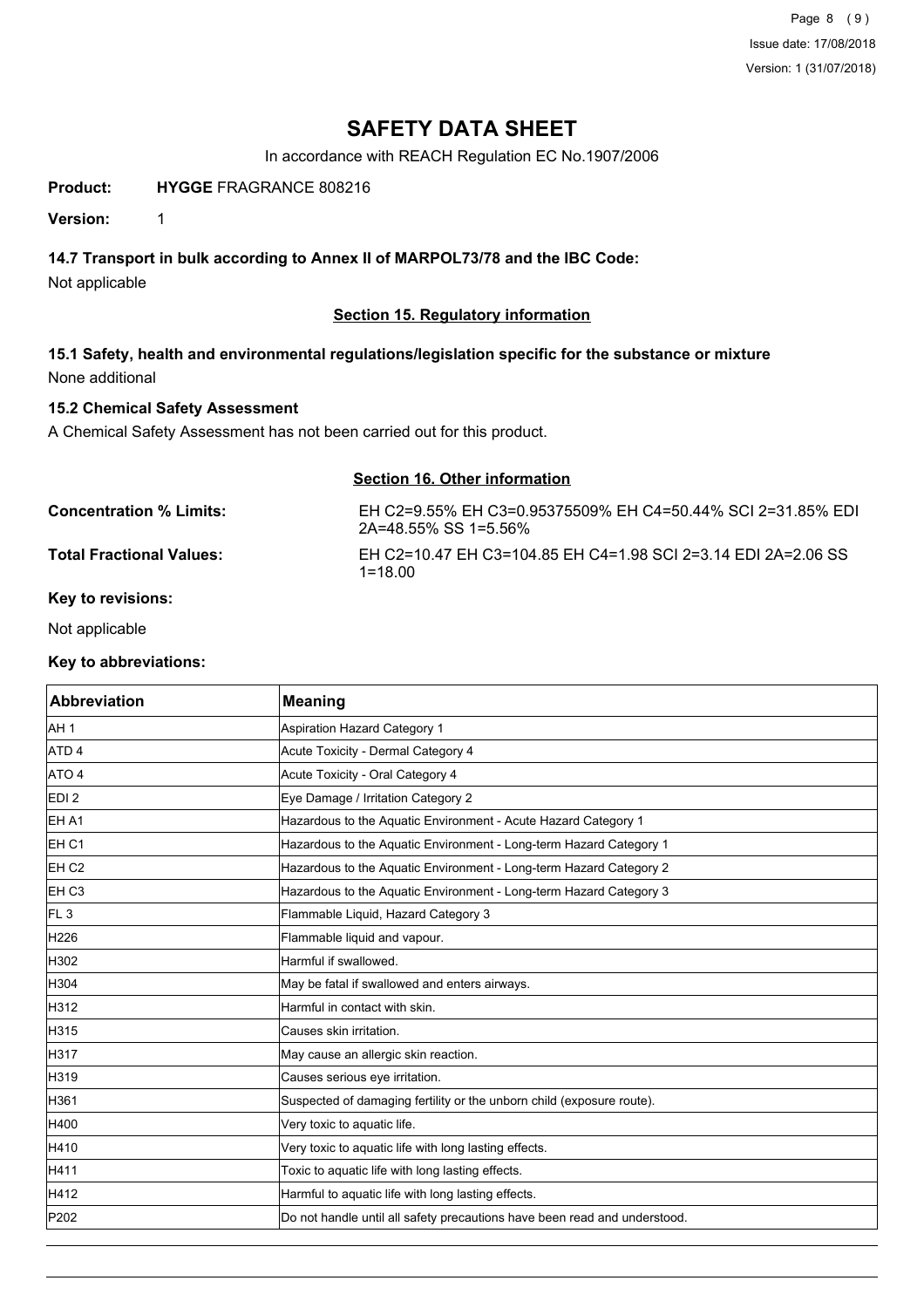Page 8 (9) Issue date: 17/08/2018 Version: 1 (31/07/2018)

# **SAFETY DATA SHEET**

In accordance with REACH Regulation EC No.1907/2006

## **Product: HYGGE** FRAGRANCE 808216

**Version:** 1

## **14.7 Transport in bulk according to Annex II of MARPOL73/78 and the IBC Code:**

Not applicable

### **Section 15. Regulatory information**

**15.1 Safety, health and environmental regulations/legislation specific for the substance or mixture** None additional

## **15.2 Chemical Safety Assessment**

A Chemical Safety Assessment has not been carried out for this product.

| <b>Section 16. Other information</b> |                                                                                     |
|--------------------------------------|-------------------------------------------------------------------------------------|
| Concentration % Limits:              | EH C2=9.55% EH C3=0.95375509% EH C4=50.44% SCI 2=31.85% EDI<br>2A=48.55% SS 1=5.56% |
| Total Fractional Values:             | EH C2=10.47 EH C3=104.85 EH C4=1.98 SCI 2=3.14 EDI 2A=2.06 SS<br>$1 = 1800$         |

#### **Key to revisions:**

Not applicable

#### **Key to abbreviations:**

| Abbreviation      | <b>Meaning</b>                                                            |
|-------------------|---------------------------------------------------------------------------|
| AH 1              | <b>Aspiration Hazard Category 1</b>                                       |
| ATD 4             | Acute Toxicity - Dermal Category 4                                        |
| ATO 4             | Acute Toxicity - Oral Category 4                                          |
| EDI <sub>2</sub>  | Eye Damage / Irritation Category 2                                        |
| EH A1             | Hazardous to the Aquatic Environment - Acute Hazard Category 1            |
| <b>EH C1</b>      | Hazardous to the Aquatic Environment - Long-term Hazard Category 1        |
| EH <sub>C2</sub>  | Hazardous to the Aquatic Environment - Long-term Hazard Category 2        |
| EH C <sub>3</sub> | Hazardous to the Aquatic Environment - Long-term Hazard Category 3        |
| FL <sub>3</sub>   | Flammable Liquid, Hazard Category 3                                       |
| H226              | Flammable liquid and vapour.                                              |
| H302              | Harmful if swallowed.                                                     |
| H304              | May be fatal if swallowed and enters airways.                             |
| H312              | Harmful in contact with skin.                                             |
| H315              | Causes skin irritation.                                                   |
| H317              | May cause an allergic skin reaction.                                      |
| H319              | Causes serious eye irritation.                                            |
| H361              | Suspected of damaging fertility or the unborn child (exposure route).     |
| H400              | Very toxic to aquatic life.                                               |
| H410              | Very toxic to aquatic life with long lasting effects.                     |
| H411              | Toxic to aquatic life with long lasting effects.                          |
| H412              | Harmful to aquatic life with long lasting effects.                        |
| P202              | Do not handle until all safety precautions have been read and understood. |